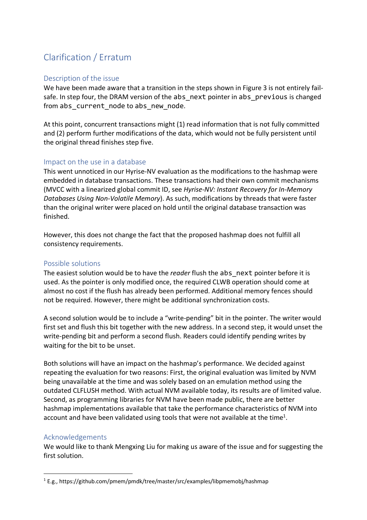# Clarification / Erratum

# Description of the issue

We have been made aware that a transition in the steps shown in Figure 3 is not entirely failsafe. In step four, the DRAM version of the abs next pointer in abs previous is changed from abs current node to abs new node.

At this point, concurrent transactions might (1) read information that is not fully committed and (2) perform further modifications of the data, which would not be fully persistent until the original thread finishes step five.

# Impact on the use in a database

This went unnoticed in our Hyrise-NV evaluation as the modifications to the hashmap were embedded in database transactions. These transactions had their own commit mechanisms (MVCC with a linearized global commit ID, see *Hyrise-NV: Instant Recovery for In-Memory Databases Using Non-Volatile Memory*). As such, modifications by threads that were faster than the original writer were placed on hold until the original database transaction was finished.

However, this does not change the fact that the proposed hashmap does not fulfill all consistency requirements.

# Possible solutions

The easiest solution would be to have the *reader* flush the abs\_next pointer before it is used. As the pointer is only modified once, the required CLWB operation should come at almost no cost if the flush has already been performed. Additional memory fences should not be required. However, there might be additional synchronization costs.

A second solution would be to include a "write-pending" bit in the pointer. The writer would first set and flush this bit together with the new address. In a second step, it would unset the write-pending bit and perform a second flush. Readers could identify pending writes by waiting for the bit to be unset.

Both solutions will have an impact on the hashmap's performance. We decided against repeating the evaluation for two reasons: First, the original evaluation was limited by NVM being unavailable at the time and was solely based on an emulation method using the outdated CLFLUSH method. With actual NVM available today, its results are of limited value. Second, as programming libraries for NVM have been made public, there are better hashmap implementations available that take the performance characteristics of NVM into account and have been validated using tools that were not available at the time<sup>1</sup>.

# Acknowledgements

We would like to thank Mengxing Liu for making us aware of the issue and for suggesting the first solution.

 <sup>1</sup> E.g., https://github.com/pmem/pmdk/tree/master/src/examples/libpmemobj/hashmap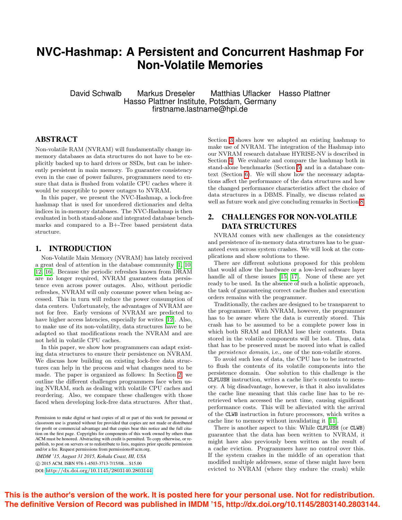# **NVC-Hashmap: A Persistent and Concurrent Hashmap For Non-Volatile Memories**

David Schwalb Markus Dreseler Matthias Uflacker Hasso Plattner Hasso Plattner Institute, Potsdam, Germany firstname.lastname@hpi.de

#### ABSTRACT

Non-volatile RAM (NVRAM) will fundamentally change inmemory databases as data structures do not have to be explicitly backed up to hard drives or SSDs, but can be inherently persistent in main memory. To guarantee consistency even in the case of power failures, programmers need to ensure that data is flushed from volatile CPU caches where it would be susceptible to power outages to NVRAM.

In this paper, we present the NVC-Hashmap, a lock-free hashmap that is used for unordered dictionaries and delta indices in in-memory databases. The NVC-Hashmap is then evaluated in both stand-alone and integrated database benchmarks and compared to a B+-Tree based persistent data structure.

## <span id="page-1-1"></span>1. INTRODUCTION

Non-Volatile Main Memory (NVRAM) has lately received a great deal of attention in the database community  $\boxed{1}$ ,  $\boxed{10}$ , [12,](#page-8-2) [16\]](#page-8-3). Because the periodic refreshes known from DRAM are no longer required, NVRAM guarantees data persistence even across power outages. Also, without periodic refreshes, NVRAM will only consume power when being accessed. This in turn will reduce the power consumption of data centers. Unfortunately, the advantages of NVRAM are not for free. Early versions of NVRAM are predicted to have higher access latencies, especially for writes  $[12]$ . Also, to make use of its non-volatility, data structures have to be adapted so that modifications reach the NVRAM and are not held in volatile CPU caches.

In this paper, we show how programmers can adapt existing data structures to ensure their persistence on NVRAM. We discuss how building on existing lock-free data structures can help in the process and what changes need to be made. The paper is organized as follows: In Section  $\boxed{2}$ , we outline the different challenges programmers face when using NVRAM, such as dealing with volatile CPU caches and reordering. Also, we compare these challenges with those faced when developing lock-free data structures. After that,

Permission to make digital or hard copies of all or part of this work for personal or classroom use is granted without fee provided that copies are not made or distributed for profit or commercial advantage and that copies bear this notice and the full citation on the first page. Copyrights for components of this work owned by others than ACM must be honored. Abstracting with credit is permitted. To copy otherwise, or republish, to post on servers or to redistribute to lists, requires prior specific permission and/or a fee. Request permissions from permissions@acm.org.

*IMDM '15, August 31 2015, Kohala Coast, HI, USA* c 2015 ACM. ISBN 978-1-4503-3713-7/15/08. . . \$15.00 DOI: <http://dx.doi.org/10.1145/2803140.2803144> Section  $\overline{3}$  shows how we adapted an existing hashmap to make use of NVRAM. The integration of the Hashmap into our NVRAM research database HYRISE-NV is described in Section  $\overline{4}$ . We evaluate and compare the hashmap both in stand-alone benchmarks (Section  $\overline{5}$ ) and in a database context (Section  $\overline{6}$ ). We will show how the necessary adaptations affect the performance of the data structures and how the changed performance characteristics affect the choice of data structures in a DBMS. Finally, we discuss related as well as future work and give concluding remarks in Section  $\frac{8}{5}$ .

# <span id="page-1-0"></span>2. CHALLENGES FOR NON-VOLATILE DATA STRUCTURES

NVRAM comes with new challenges as the consistency and persistence of in-memory data structures has to be guaranteed even across system crashes. We will look at the complications and show solutions to these.

There are different solutions proposed for this problem that would allow the hardware or a low-level software layer handle all of these issues  $\boxed{15}$ ,  $\boxed{17}$ . None of these are yet ready to be used. In the absence of such a holistic approach, the task of guaranteeing correct cache flushes and execution orders remains with the programmer.

Traditionally, the caches are designed to be transparent to the programmer. With NVRAM, however, the programmer has to be aware where the data is currently stored. This crash has to be assumed to be a complete power loss in which both SRAM and DRAM lose their contents. Data stored in the volatile components will be lost. Thus, data that has to be preserved must be moved into what is called the *persistence domain*, i.e., one of the non-volatile stores.

To avoid such loss of data, the CPU has to be instructed to flush the contents of its volatile components into the persistence domain. One solution to this challenge is the CLFLUSH instruction, writes a cache line's contents to memory. A big disadvantage, however, is that it also invalidates the cache line meaning that this cache line has to be reretrieved when accessed the next time, causing significant performance costs. This will be alleviated with the arrival of the CLWB instruction in future processors, which writes a cache line to memory without invalidating it  $[11]$ .

There is another aspect to this: While CLFLUSH (or CLWB) guarantee that the data has been written to NVRAM, it might have also previously been written as the result of a cache eviction. Programmers have no control over this. If the system crashes in the middle of an operation that modified multiple addresses, some of these might have been evicted to NVRAM (where they endure the crash) while

**This is the author's version of the work. It is posted here for your personal use. Not for redistribution. The definitive Version of Record was published in IMDM '15, http://dx.doi.org/10.1145/2803140.2803144.**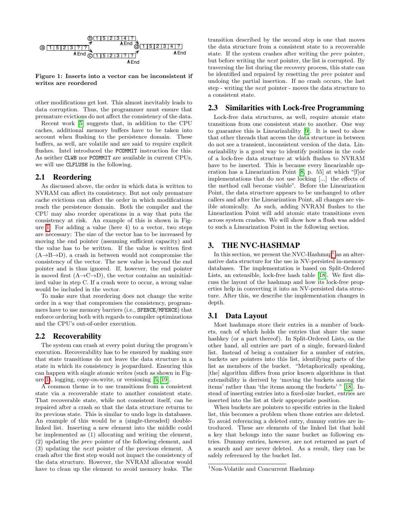

<span id="page-2-1"></span>Figure 1: Inserts into a vector can be inconsistent if writes are reordered

other modifications get lost. This almost inevitably leads to data corruption. Thus, the programmer must ensure that premature evictions do not affect the consistency of the data.

Recent work  $\overline{5}$  suggests that, in addition to the CPU caches, additional memory buffers have to be taken into account when flushing to the persistence domain. These buffers, as well, are volatile and are said to require explicit flushes. Intel introduced the PCOMMIT instruction for this. As neither CLWB nor PCOMMIT are available in current CPUs, we will use CLFLUSH in the following.

#### 2.1 Reordering

As discussed above, the order in which data is written to NVRAM can affect its consistency. But not only premature cache evictions can affect the order in which modifications reach the persistence domain. Both the compiler and the CPU may also reorder operations in a way that puts the consistency at risk. An example of this is shown in Figure  $\boxed{1}$ . For adding a value (here 4) to a vector, two steps are necessary: The size of the vector has to be increased by moving the end pointer (assuming sufficient capacity) and the value has to be written. If the value is written first  $(A\rightarrow B\rightarrow D)$ , a crash in between would not compromise the consistency of the vector. The new value is beyond the end pointer and is thus ignored. If, however, the end pointer is moved first  $(A \rightarrow C \rightarrow D)$ , the vector contains an uninitialized value in step C. If a crash were to occur, a wrong value would be included in the vector.

To make sure that reordering does not change the write order in a way that compromises the consistency, programmers have to use memory barriers (i.e., SFENCE/MFENCE) that enforce ordering both with regards to compiler optimizations and the CPU's out-of-order execution.

#### 2.2 Recoverability

The system can crash at every point during the program's execution. Recoverability has to be ensured by making sure that state transitions do not leave the data structure in a state in which its consistency is jeopardized. Ensuring this can happen with single atomic writes (such as shown in Figure  $\boxed{1}$ , logging, copy-on-write, or versioning  $\boxed{5}$ ,  $\boxed{19}$ .

A common theme is to use transitions from a consistent state via a recoverable state to another consistent state. That recoverable state, while not consistent itself, can be repaired after a crash so that the data structure returns to its previous state. This is similar to undo logs in databases. An example of this would be a (single-threaded) doublelinked list. Inserting a new element into the middle could be implemented as (1) allocating and writing the element, (2) updating the *prev* pointer of the following element, and (3) updating the *next* pointer of the previous element. A crash after the first step would not impact the consistency of the data structure. However, the NVRAM allocator would have to clean up the element to avoid memory leaks. The

transition described by the second step is one that moves the data structure from a consistent state to a recoverable state. If the system crashes after writing the *prev* pointer, but before writing the *next* pointer, the list is corrupted. By traversing the list during the recovery process, this state can be identified and repaired by resetting the *prev* pointer and undoing the partial insertion. If no crash occurs, the last step - writing the *next* pointer - moves the data structure to a consistent state.

### 2.3 Similarities with Lock-free Programming

Lock-free data structures, as well, require atomic state transitions from one consistent state to another. One way to guarantee this is Linearizability  $[9]$ . It is used to show that other threads that access the data structure in between do not see a transient, inconsistent version of the data. Linearizability is a good way to identify positions in the code of a lock-free data structure at which flushes to NVRAM have to be inserted. This is because every linearizable operation has a Linearization Point [\[8,](#page-8-11) p. 55] at which "[f]or implementations that do not use  $\overline{\text{locking}}$  [...] the effects of the method call become visible". Before the Linearization Point, the data structure appears to be unchanged to other callers and after the Linearization Point, all changes are visible atomically. As such, adding NVRAM flushes to the Linearization Point will add atomic state transitions even across system crashes. We will show how a flush was added to such a Linearization Point in the following section.

### <span id="page-2-0"></span>3. THE NVC-HASHMAP

In this section, we present the NVC-Hashmap<sup>[1](#page-2-2)</sup> as an alternative data structure for the use in NV-persisted in-memory databases. The implementation is based on Split-Ordered Lists, an extensible, lock-free hash table [\[18\]](#page-8-12). We first discuss the layout of the hashmap and how its lock-free properties help in converting it into an NV-persisted data structure. After this, we describe the implementation changes in depth.

#### 3.1 Data Layout

Most hashmaps store their entries in a number of buckets, each of which holds the entries that share the same hashkey (or a part thereof). In Split-Ordered Lists, on the other hand, all entries are part of a single, forward-linked list. Instead of being a container for a number of entries, buckets are pointers into this list, identifying parts of the list as members of the bucket. "Metaphorically speaking, [the] algorithm differs from prior known algorithms in that extensibility is derived by 'moving the buckets among the items' rather than 'the items among the buckets' " [\[18\]](#page-8-12). Instead of inserting entries into a fixed-size bucket, entries are inserted into the list at their appropriate position.

When buckets are pointers to specific entries in the linked list, this becomes a problem when those entries are deleted. To avoid referencing a deleted entry, dummy entries are introduced. These are elements of the linked list that hold a key that belongs into the same bucket as following entries. Dummy entries, however, are not returned as part of a search and are never deleted. As a result, they can be safely referenced by the bucket list.

<span id="page-2-2"></span><sup>1</sup>Non-Volatile and Concurrent Hashmap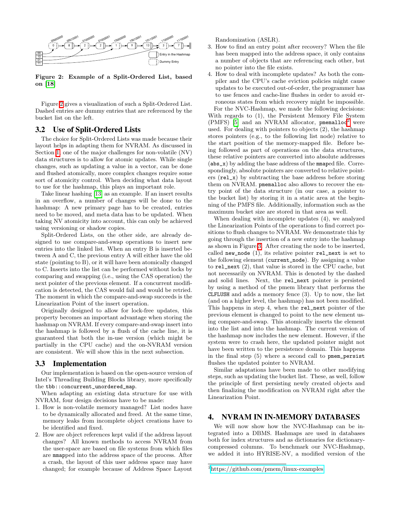

<span id="page-3-1"></span>Figure 2: Example of a Split-Ordered List, based on [\[18\]](#page-8-12)

Figure [2](#page-3-1) gives a visualization of such a Split-Ordered List. Dashed entries are dummy entries that are referenced by the bucket list on the left.

### 3.2 Use of Split-Ordered Lists

The choice for Split-Ordered Lists was made because their layout helps in adapting them for NVRAM. As discussed in Section  $\overline{1}$ , one of the major challenges for non-volatile (NV) data structures is to allow for atomic updates. While single changes, such as updating a value in a vector, can be done and flushed atomically, more complex changes require some sort of atomicity control. When deciding what data layout to use for the hashmap, this plays an important role.

Take linear hashing [\[13\]](#page-8-13) as an example. If an insert results in an overflow, a number of changes will be done to the hashmap: A new primary page has to be created, entries need to be moved, and meta data has to be updated. When taking NV atomicity into account, this can only be achieved using versioning or shadow copies.

Split-Ordered Lists, on the other side, are already designed to use compare-and-swap operations to insert new entries into the linked list. When an entry B is inserted between A and C, the previous entry A will either have the old state (pointing to B), or it will have been atomically changed to C. Inserts into the list can be performed without locks by comparing and swapping (i.e., using the CAS operation) the next pointer of the previous element. If a concurrent modification is detected, the CAS would fail and would be retried. The moment in which the compare-and-swap succeeds is the Linearization Point of the insert operation.

Originally designed to allow for lock-free updates, this property becomes an important advantage when storing the hashmap on NVRAM. If every compare-and-swap insert into the hashmap is followed by a flush of the cache line, it is guaranteed that both the in-use version (which might be partially in the CPU cache) and the on-NVRAM version are consistent. We will show this in the next subsection.

### 3.3 Implementation

Our implementation is based on the open-source version of Intel's Threading Building Blocks library, more specifically the tbb::concurrent\_unordered\_map.

When adapting an existing data structure for use with NVRAM, four design decisions have to be made:

- 1. How is non-volatile memory managed? List nodes have to be dynamically allocated and freed. At the same time, memory leaks from incomplete object creations have to be identified and fixed.
- 2. How are object references kept valid if the address layout changes? All known methods to access NVRAM from the user-space are based on file systems from which files are mmapped into the address space of the process. After a crash, the layout of this user address space may have changed; for example because of Address Space Layout

Randomization (ASLR).

- 3. How to find an entry point after recovery? When the file has been mapped into the address space, it only contains a number of objects that are referencing each other, but no pointer into the file exists.
- 4. How to deal with incomplete updates? As both the compiler and the CPU's cache eviction policies might cause updates to be executed out-of-order, the programmer has to use fences and cache-line flushes in order to avoid erroneous states from which recovery might be impossible. For the NVC-Hashmap, we made the following decisions:

With regards to (1), the Persistent Memory File System (PMFS)  $\boxed{5}$  and an NVRAM allocator, pmemalloc<sup>[2](#page-3-2)</sup> were used. For dealing with pointers to objects (2), the hashmap stores pointers (e.g., to the following list node) relative to the start position of the memory-mapped file. Before being followed as part of operations on the data structures, these relative pointers are converted into absolute addresses (abs\_x) by adding the base address of the mmaped file. Correspondingly, absolute pointers are converted to relative pointers (rel\_x) by subtracting the base address before storing them on NVRAM. pmemalloc also allows to recover the entry point of the data structure (in our case, a pointer to the bucket list) by storing it in a static area at the beginning of the PMFS file. Additionally, information such as the maximum bucket size are stored in that area as well.

When dealing with incomplete updates (4), we analyzed the Linearization Points of the operations to find correct positions to flush changes to NVRAM. We demonstrate this by going through the insertion of a new entry into the hashmap as shown in Figure  $\overline{3}$ . After creating the node to be inserted, called new\_node  $(1)$ , its relative pointer rel\_next is set to the following element (current\_node). By assigning a value to rel\_next (2), that value is stored in the CPU cache, but not necessarily on NVRAM. This is denoted by the dashed and solid lines. Next, the rel\_next pointer is persisted by using a method of the pmem library that performs the CLFLUSH and adds a memory fence (3). Up to now, the list (and on a higher level, the hashmap) has not been modified. This happens in step 4, when the rel\_next pointer of the previous element is changed to point to the new element using compare-and-swap. This atomically inserts the element into the list and into the hashmap. The current version of the hashmap now includes the new element. However, if the system were to crash here, the updated pointer might not have been written to the persistence domain. This happens in the final step (5) where a second call to pmem\_persist flushes the updated pointer to NVRAM.

Similar adaptations have been made to other modifying steps, such as updating the bucket list. These, as well, follow the principle of first persisting newly created objects and then finalizing the modification on NVRAM right after the Linearization Point.

#### <span id="page-3-0"></span>4. NVRAM IN IN-MEMORY DATABASES

We will now show how the NVC-Hashmap can be integrated into a DBMS. Hashmaps are used in databases both for index structures and as dictionaries for dictionarycompressed columns. To benchmark our NVC-Hashmap, we added it into HYRISE-NV, a modified version of the

<span id="page-3-2"></span><sup>2</sup><https://github.com/pmem/linux-examples>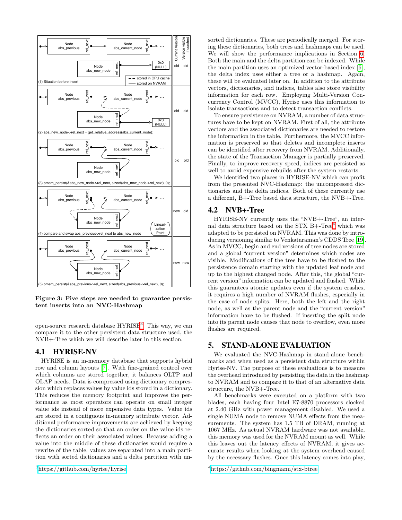

<span id="page-4-1"></span>Figure 3: Five steps are needed to guarantee persistent inserts into an NVC-Hashmap

open-source research database  $HYRISE<sup>3</sup>$  $HYRISE<sup>3</sup>$  $HYRISE<sup>3</sup>$ . This way, we can compare it to the other persistent data structure used, the NVB+-Tree which we will describe later in this section.

#### 4.1 HYRISE-NV

HYRISE is an in-memory database that supports hybrid row and column layouts [\[7\]](#page-8-14). With fine-grained control over which columns are stored together, it balances OLTP and OLAP needs. Data is compressed using dictionary compression which replaces values by value ids stored in a dictionary. This reduces the memory footprint and improves the performance as most operators can operate on small integer value ids instead of more expensive data types. Value ids are stored in a contiguous in-memory attribute vector. Additional performance improvements are achieved by keeping the dictionaries sorted so that an order on the value ids reflects an order on their associated values. Because adding a value into the middle of these dictionaries would require a rewrite of the table, values are separated into a main partition with sorted dictionaries and a delta partition with unsorted dictionaries. These are periodically merged. For storing these dictionaries, both trees and hashmaps can be used. We will show the performance implications in Section [6.](#page-6-0) Both the main and the delta partition can be indexed. While the main partition uses an optimized vector-based index  $[6]$ , the delta index uses either a tree or a hashmap. Again, these will be evaluated later on. In addition to the attribute vectors, dictionaries, and indices, tables also store visibility information for each row. Employing Multi-Version Concurrency Control (MVCC), Hyrise uses this information to isolate transactions and to detect transaction conflicts.

To ensure persistence on NVRAM, a number of data structures have to be kept on NVRAM. First of all, the attribute vectors and the associated dictionaries are needed to restore the information in the table. Furthermore, the MVCC information is preserved so that deletes and incomplete inserts can be identified after recovery from NVRAM. Additionally, the state of the Transaction Manager is partially preserved. Finally, to improve recovery speed, indices are persisted as well to avoid expensive rebuilds after the system restarts.

We identified two places in HYRISE-NV which can profit from the presented NVC-Hashmap: the uncompressed dictionaries and the delta indices. Both of these currently use a different,  $B+$ -Tree based data structure, the NVB+-Tree.

#### 4.2 NVB+-Tree

HYRISE-NV currently uses the "NVB+-Tree", an inter-nal data structure based on the STX B+-Tree<sup>[4](#page-4-3)</sup> which was adapted to be persisted on NVRAM. This was done by introducing versioning similar to Venkataraman's CDDS Tree [\[19\]](#page-8-9). As in MVCC, begin and end versions of tree nodes are stored and a global "current version" determines which nodes are visible. Modifications of the tree have to be flushed to the persistence domain starting with the updated leaf node and up to the highest changed node. After this, the global "current version"information can be updated and flushed. While this guarantees atomic updates even if the system crashes, it requires a high number of NVRAM flushes, especially in the case of node splits. Here, both the left and the right node, as well as the parent node and the "current version" information have to be flushed. If inserting the split node into its parent node causes that node to overflow, even more flushes are required.

#### <span id="page-4-0"></span>5. STAND-ALONE EVALUATION

We evaluated the NVC-Hashmap in stand-alone benchmarks and when used as a persistent data structure within Hyrise-NV. The purpose of these evaluations is to measure the overhead introduced by persisting the data in the hashmap to NVRAM and to compare it to that of an alternative data structure, the NVB+-Tree.

All benchmarks were executed on a platform with two blades, each having four Intel E7-8870 processors clocked at 2.40 GHz with power management disabled. We used a single NUMA node to remove NUMA effects from the measurements. The system has 1.5 TB of DRAM, running at 1067 MHz. As actual NVRAM hardware was not available, this memory was used for the NVRAM mount as well. While this leaves out the latency effects of NVRAM, it gives accurate results when looking at the system overhead caused by the necessary flushes. Once this latency comes into play,

<span id="page-4-2"></span><sup>3</sup><https://github.com/hyrise/hyrise>

<span id="page-4-3"></span><sup>&</sup>lt;sup>4</sup><https://github.com/bingmann/stx-btree>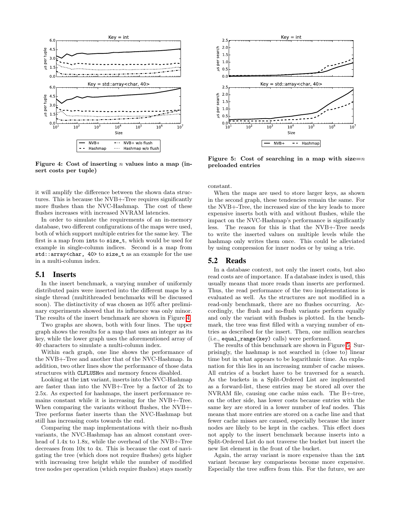

<span id="page-5-0"></span>Figure 4: Cost of inserting *n* values into a map (insert costs per tuple)

it will amplify the difference between the shown data structures. This is because the NVB+-Tree requires significantly more flushes than the NVC-Hashmap. The cost of these flushes increases with increased NVRAM latencies.

In order to simulate the requirements of an in-memory database, two different configurations of the maps were used, both of which support multiple entries for the same key. The first is a map from ints to size\_t, which would be used for example in single-column indices. Second is a map from std::array<char, 40> to size\_t as an example for the use in a multi-column index.

#### 5.1 Inserts

In the insert benchmark, a varying number of uniformly distributed pairs were inserted into the different maps by a single thread (multithreaded benchmarks will be discussed soon). The distinctivity of was chosen as 10% after preliminary experiments showed that its influence was only minor. The results of the insert benchmark are shown in Figure  $\frac{4}{5}$ .

Two graphs are shown, both with four lines. The upper graph shows the results for a map that uses an integer as its key, while the lower graph uses the aforementioned array of 40 characters to simulate a multi-column index.

Within each graph, one line shows the performance of the NVB+-Tree and another that of the NVC-Hashmap. In addition, two other lines show the performance of those data structures with CLFLUSHes and memory fences disabled.

Looking at the int variant, inserts into the NVC-Hashmap are faster than into the NVB+-Tree by a factor of 2x to 2.5x. As expected for hashmaps, the insert performance remains constant while it is increasing for the NVB+-Tree. When comparing the variants without flushes, the NVB+- Tree performs faster inserts than the NVC-Hashmap but still has increasing costs towards the end.

Comparing the map implementations with their no-flush variants, the NVC-Hashmap has an almost constant overhead of 1.4x to 1.8x, while the overhead of the NVB+-Tree decreases from 10x to 4x. This is because the cost of navigating the tree (which does not require flushes) gets higher with increasing tree height while the number of modified tree nodes per operation (which require flushes) stays mostly



<span id="page-5-1"></span>Figure 5: Cost of searching in a map with size=*n* preloaded entries

constant.

When the maps are used to store larger keys, as shown in the second graph, these tendencies remain the same. For the NVB+-Tree, the increased size of the key leads to more expensive inserts both with and without flushes, while the impact on the NVC-Hashmap's performance is significantly less. The reason for this is that the NVB+-Tree needs to write the inserted values on multiple levels while the hashmap only writes them once. This could be alleviated by using compression for inner nodes or by using a trie.

#### 5.2 Reads

In a database context, not only the insert costs, but also read costs are of importance. If a database index is used, this usually means that more reads than inserts are performed. Thus, the read performance of the two implementations is evaluated as well. As the structures are not modified in a read-only benchmark, there are no flushes occurring. Accordingly, the flush and no-flush variants perform equally and only the variant with flushes is plotted. In the benchmark, the tree was first filled with a varying number of entries as described for the insert. Then, one million searches (i.e., equal\_range(key) calls) were performed.

The results of this benchmark are shown in Figure [5.](#page-5-1) Surprisingly, the hashmap is not searched in (close to) linear time but in what appears to be logarithmic time. An explanation for this lies in an increasing number of cache misses. All entries of a bucket have to be traversed for a search. As the buckets in a Split-Ordered List are implemented as a forward-list, these entries may be stored all over the NVRAM file, causing one cache miss each. The B+-tree, on the other side, has lower costs because entries with the same key are stored in a lower number of leaf nodes. This means that more entries are stored on a cache line and that fewer cache misses are caused, especially because the inner nodes are likely to be kept in the caches. This effect does not apply to the insert benchmark because inserts into a Split-Ordered List do not traverse the bucket but insert the new list element in the front of the bucket.

Again, the array variant is more expensive than the int variant because key comparisons become more expensive. Especially the tree suffers from this. For the future, we are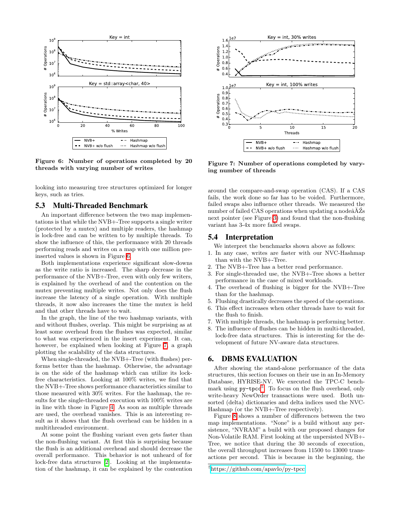

<span id="page-6-1"></span>Figure 6: Number of operations completed by 20 threads with varying number of writes

looking into measuring tree structures optimized for longer keys, such as tries.

#### 5.3 Multi-Threaded Benchmark

An important difference between the two map implementations is that while the NVB+-Tree supports a single writer (protected by a mutex) and multiple readers, the hashmap is lock-free and can be written to by multiple threads. To show the influence of this, the performance with 20 threads performing reads and writes on a map with one million preinserted values is shown in Figure [6.](#page-6-1)

Both implementations experience significant slow-downs as the write ratio is increased. The sharp decrease in the performance of the NVB+-Tree, even with only few writers, is explained by the overhead of and the contention on the mutex preventing multiple writes. Not only does the flush increase the latency of a single operation. With multiple threads, it now also increases the time the mutex is held and that other threads have to wait.

In the graph, the line of the two hashmap variants, with and without flushes, overlap. This might be surprising as at least some overhead from the flushes was expected, similar to what was experienced in the insert experiment. It can, however, be explained when looking at Figure  $\overline{7}$ , a graph plotting the scalability of the data structures.

When single-threaded, the NVB+-Tree (with flushes) performs better than the hashmap. Otherwise, the advantage is on the side of the hashmap which can utilize its lockfree characteristics. Looking at 100% writes, we find that the NVB+-Tree shows performance characteristics similar to those measured with 30% writes. For the hashmap, the results for the single-threaded execution with 100% writes are in line with those in Figure  $\frac{4}{1}$ . As soon as multiple threads are used, the overhead vanishes. This is an interesting result as it shows that the flush overhead can be hidden in a multithreaded environment.

At some point the flushing variant even gets faster than the non-flushing variant. At first this is surprising because the flush is an additional overhead and should decrease the overall performance. This behavior is not unheard of for lock-free data structures  $\boxed{2}$ . Looking at the implementation of the hashmap, it can be explained by the contention



<span id="page-6-2"></span>Figure 7: Number of operations completed by varying number of threads

around the compare-and-swap operation (CAS). If a CAS fails, the work done so far has to be voided. Furthermore, failed swaps also influence other threads. We measured the number of failed CAS operations when updating a node $\hat{A}Z$ s next pointer (see Figure  $\boxed{3}$ ) and found that the non-flushing variant has 3-4x more failed swaps.

## 5.4 Interpretation

We interpret the benchmarks shown above as follows:

- 1. In any case, writes are faster with our NVC-Hashmap than with the NVB+-Tree.
- The NVB+-Tree has a better read performance.
- 3. For single-threaded use, the NVB+-Tree shows a better performance in the case of mixed workloads.
- 4. The overhead of flushing is bigger for the NVB+-Tree than for the hashmap.
- 5. Flushing drastically decreases the speed of the operations.
- 6. This effect increases when other threads have to wait for the flush to finish.
- 7. With multiple threads, the hashmap is performing better.
- 8. The influence of flushes can be hidden in multi-threaded, lock-free data structures. This is interesting for the development of future NV-aware data structures.

#### <span id="page-6-0"></span>6. DBMS EVALUATION

After showing the stand-alone performance of the data structures, this section focuses on their use in an In-Memory Database, HYRISE-NV. We executed the TPC-C benchmark using  $py$ -tpc $c_5^5$  $c_5^5$  $c_5^5$ . To focus on the flush overhead, only write-heavy NewOrder transactions were used. Both unsorted (delta) dictionaries and delta indices used the NVC-Hashmap (or the NVB+-Tree respectively).

Figure  $\frac{8}{8}$  shows a number of differences between the two map implementations. "None" is a build without any persistence, "NVRAM" a build with our proposed changes for Non-Volatile RAM. First looking at the unpersisted NVB+- Tree, we notice that during the 30 seconds of execution, the overall throughput increases from 11500 to 13000 transactions per second. This is because in the beginning, the

<span id="page-6-3"></span><sup>&</sup>lt;sup>5</sup><https://github.com/apavlo/py-tpcc>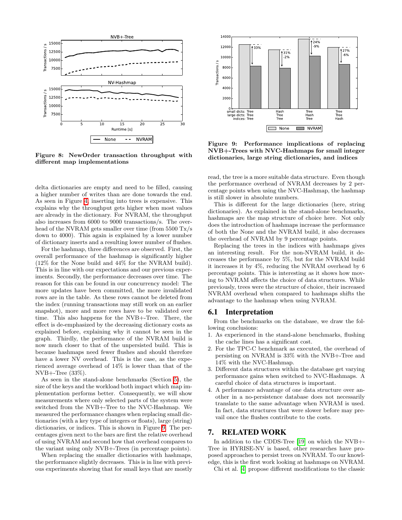

<span id="page-7-0"></span>Figure 8: NewOrder transaction throughput with different map implementations

delta dictionaries are empty and need to be filled, causing a higher number of writes than are done towards the end. As seen in Figure  $\frac{1}{4}$  inserting into trees is expensive. This explains why the throughput gets higher when most values are already in the dictionary. For NVRAM, the throughput also increases from 6000 to 9000 transactions/s. The overhead of the NVRAM gets smaller over time (from 5500 Tx/s down to 4000). This again is explained by a lower number of dictionary inserts and a resulting lower number of flushes.

For the hashmap, three differences are observed. First, the overall performance of the hashmap is significantly higher (12% for the None build and 44% for the NVRAM build). This is in line with our expectations and our previous experiments. Secondly, the performance decreases over time. The reason for this can be found in our concurrency model: The more updates have been committed, the more invalidated rows are in the table. As these rows cannot be deleted from the index (running transactions may still work on an earlier snapshot), more and more rows have to be validated over time. This also happens for the NVB+-Tree. There, the effect is de-emphasized by the decreasing dictionary costs as explained before, explaining why it cannot be seen in the graph. Thirdly, the performance of the NVRAM build is now much closer to that of the unpersisted build. This is because hashmaps need fewer flushes and should therefore have a lower NV overhead. This is the case, as the experienced average overhead of 14% is lower than that of the NVB+-Tree (33%).

As seen in the stand-alone benchmarks (Section  $\overline{5}$ ), the size of the keys and the workload both impact which map implementation performs better. Consequently, we will show measurements where only selected parts of the system were switched from the NVB+-Tree to the NVC-Hashmap. We measured the performance changes when replacing small dictionaries (with a key type of integers or floats), large (string) dictionaries, or indices. This is shown in Figure  $\overline{9}$ . The percentages given next to the bars are first the relative overhead of using NVRAM and second how that overhead compares to the variant using only NVB+-Trees (in percentage points).

When replacing the smaller dictionaries with hashmaps, the performance slightly decreases. This is in line with previous experiments showing that for small keys that are mostly



<span id="page-7-1"></span>Figure 9: Performance implications of replacing NVB+-Trees with NVC-Hashmaps for small integer dictionaries, large string dictionaries, and indices

read, the tree is a more suitable data structure. Even though the performance overhead of NVRAM decreases by 2 percentage points when using the NVC-Hashmap, the hashmap is still slower in absolute numbers.

This is different for the large dictionaries (here, string dictionaries). As explained in the stand-alone benchmarks, hashmaps are the map structure of choice here. Not only does the introduction of hashmaps increase the performance of both the None and the NVRAM build, it also decreases the overhead of NVRAM by 9 percentage points.

Replacing the trees in the indices with hashmaps gives an interesting result. For the non-NVRAM build, it decreases the performance by 5%, but for the NVRAM build it increases it by 4%, reducing the NVRAM overhead by 6 percentage points. This is interesting as it shows how moving to NVRAM affects the choice of data structures. While previously, trees were the structure of choice, their increased NVRAM overhead when compared to hashmaps shifts the advantage to the hashmap when using NVRAM.

#### 6.1 Interpretation

From the benchmarks on the database, we draw the following conclusions:

- 1. As experienced in the stand-alone benchmarks, flushing the cache lines has a significant cost.
- 2. For the TPC-C benchmark as executed, the overhead of persisting on NVRAM is 33% with the NVB+-Tree and 14% with the NVC-Hashmap.
- 3. Different data structures within the database get varying performance gains when switched to NVC-Hashmaps. A careful choice of data structures is important.
- 4. A performance advantage of one data structure over another in a no-persistence database does not necessarily translate to the same advantage when NVRAM is used. In fact, data structures that were slower before may prevail once the flushes contribute to the costs.

#### 7. RELATED WORK

In addition to the CDDS-Tree [\[19\]](#page-8-9) on which the NVB+- Tree in HYRISE-NV is based, other researches have proposed approaches to persist trees on NVRAM. To our knowledge, this is the first work looking at hashmaps on NVRAM.

Chi et al.  $[4]$  propose different modifications to the classic